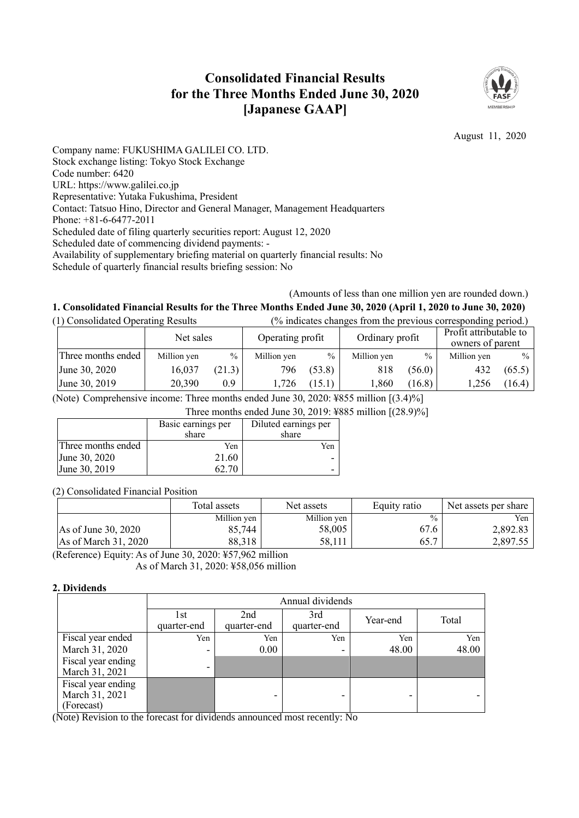## **Consolidated Financial Results for the Three Months Ended June 30, 2020 [Japanese GAAP]**



August 11, 2020

Company name: FUKUSHIMA GALILEI CO. LTD. Stock exchange listing: Tokyo Stock Exchange Code number: 6420 URL: https://www.galilei.co.jp Representative: Yutaka Fukushima, President Contact: Tatsuo Hino, Director and General Manager, Management Headquarters Phone: +81-6-6477-2011 Scheduled date of filing quarterly securities report: August 12, 2020 Scheduled date of commencing dividend payments: - Availability of supplementary briefing material on quarterly financial results: No Schedule of quarterly financial results briefing session: No

# (Amounts of less than one million yen are rounded down.)

#### **1. Consolidated Financial Results for the Three Months Ended June 30, 2020 (April 1, 2020 to June 30, 2020)** (1) Consolidated Operating Results (% indicates changes from the previous corresponding period.)

| (1) Consolidated Operating Results |                    |             |        |                  |               |                 |        | (%) indicates changes from the previous corresponding period.) |               |
|------------------------------------|--------------------|-------------|--------|------------------|---------------|-----------------|--------|----------------------------------------------------------------|---------------|
|                                    |                    | Net sales   |        | Operating profit |               | Ordinary profit |        | Profit attributable to<br>owners of parent                     |               |
|                                    | Three months ended | Million yen | $\%$   | Million yen      | $\frac{0}{0}$ | Million yen     | $\%$   | Million yen                                                    | $\frac{0}{0}$ |
|                                    | June 30, 2020      | 16,037      | (21.3) | 796              | (53.8)        | 818             | (56.0) | 432                                                            | (65.5)        |
|                                    | June 30, 2019      | 20,390      | 0.9    | 1,726            | (15.1)        | 1,860           | (16.8) | 1,256                                                          | (16.4)        |

(Note) Comprehensive income: Three months ended June 30, 2020: ¥855 million [(3.4)%]

Three months ended June 30, 2019: ¥885 million [(28.9)%]

|                    | Basic earnings per | Diluted earnings per |  |
|--------------------|--------------------|----------------------|--|
|                    | share              | share                |  |
| Three months ended | Yen                | Yen                  |  |
| June 30, 2020      | 21.60              |                      |  |
| June 30, 2019      |                    |                      |  |

(2) Consolidated Financial Position

|                        | Total assets | Net assets  | Equity ratio  | Net assets per share |
|------------------------|--------------|-------------|---------------|----------------------|
|                        | Million yen  | Million yen | $\frac{0}{0}$ | Yen.                 |
| As of June 30, 2020    | 85,744       | 58,005      | 67.6          | 2,892.83             |
| As of March $31, 2020$ | 88,318       | 58.111      | 65.7          | 2.897.55             |

(Reference) Equity: As of June 30, 2020: ¥57,962 million As of March 31, 2020: ¥58,056 million

#### **2. Dividends**

|                                                    |                     | Annual dividends   |                    |          |       |  |  |
|----------------------------------------------------|---------------------|--------------------|--------------------|----------|-------|--|--|
|                                                    | l st<br>quarter-end | 2nd<br>quarter-end | 3rd<br>quarter-end | Year-end | Total |  |  |
| Fiscal year ended                                  | Yen                 | Yen                | Yen                | Yen      | Yen   |  |  |
| March 31, 2020                                     | ٠                   | 0.00               | -                  | 48.00    | 48.00 |  |  |
| Fiscal year ending<br>March 31, 2021               | ٠                   |                    |                    |          |       |  |  |
| Fiscal year ending<br>March 31, 2021<br>(Forecast) |                     |                    |                    |          |       |  |  |

(Note) Revision to the forecast for dividends announced most recently: No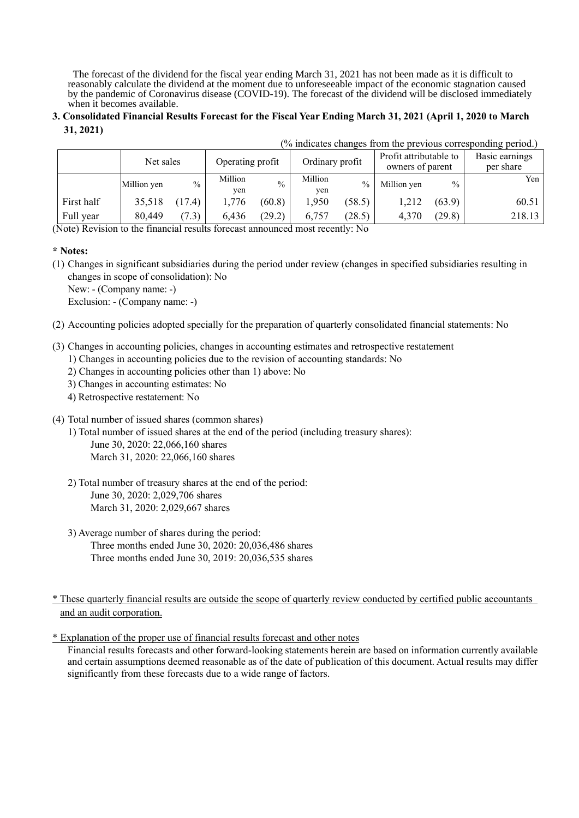The forecast of the dividend for the fiscal year ending March 31, 2021 has not been made as it is difficult to reasonably calculate the dividend at the moment due to unforeseeable impact of the economic stagnation caused by the pandemic of Coronavirus disease (COVID-19). The forecast of the dividend will be disclosed immediately when it becomes available.

#### **3. Consolidated Financial Results Forecast for the Fiscal Year Ending March 31, 2021 (April 1, 2020 to March 31, 2021)**

|            |             |               |                  |               |                 | (% indicates changes from the previous corresponding period.) |                                            |               |                             |
|------------|-------------|---------------|------------------|---------------|-----------------|---------------------------------------------------------------|--------------------------------------------|---------------|-----------------------------|
|            | Net sales   |               | Operating profit |               | Ordinary profit |                                                               | Profit attributable to<br>owners of parent |               | Basic earnings<br>per share |
|            | Million yen | $\frac{0}{0}$ | Million<br>yen   | $\frac{0}{0}$ | Million<br>ven  | $\frac{0}{0}$                                                 | Million yen                                | $\frac{0}{0}$ | Yen                         |
| First half | 35,518      | (17.4)        | 1,776            | (60.8)        | 1,950           | (58.5)                                                        | 1,212                                      | (63.9)        | 60.51                       |
| Full year  | 80,449      | (7.3)         | 6,436            | (29.2)        | 6.757           | (28.5)                                                        | 4,370                                      | (29.8)        | 218.13                      |

(Note) Revision to the financial results forecast announced most recently: No

#### **\* Notes:**

(1) Changes in significant subsidiaries during the period under review (changes in specified subsidiaries resulting in changes in scope of consolidation): No

New: - (Company name: -)

Exclusion: - (Company name: -)

- (2) Accounting policies adopted specially for the preparation of quarterly consolidated financial statements: No
- (3) Changes in accounting policies, changes in accounting estimates and retrospective restatement
	- 1) Changes in accounting policies due to the revision of accounting standards: No
	- 2) Changes in accounting policies other than 1) above: No
	- 3) Changes in accounting estimates: No
	- 4) Retrospective restatement: No
- (4) Total number of issued shares (common shares)
	- 1) Total number of issued shares at the end of the period (including treasury shares): June 30, 2020: 22,066,160 shares March 31, 2020: 22,066,160 shares
	- 2) Total number of treasury shares at the end of the period: June 30, 2020: 2,029,706 shares March 31, 2020: 2,029,667 shares
	- 3) Average number of shares during the period: Three months ended June 30, 2020: 20,036,486 shares Three months ended June 30, 2019: 20,036,535 shares

\* These quarterly financial results are outside the scope of quarterly review conducted by certified public accountants and an audit corporation.

\* Explanation of the proper use of financial results forecast and other notes

Financial results forecasts and other forward-looking statements herein are based on information currently available and certain assumptions deemed reasonable as of the date of publication of this document. Actual results may differ significantly from these forecasts due to a wide range of factors.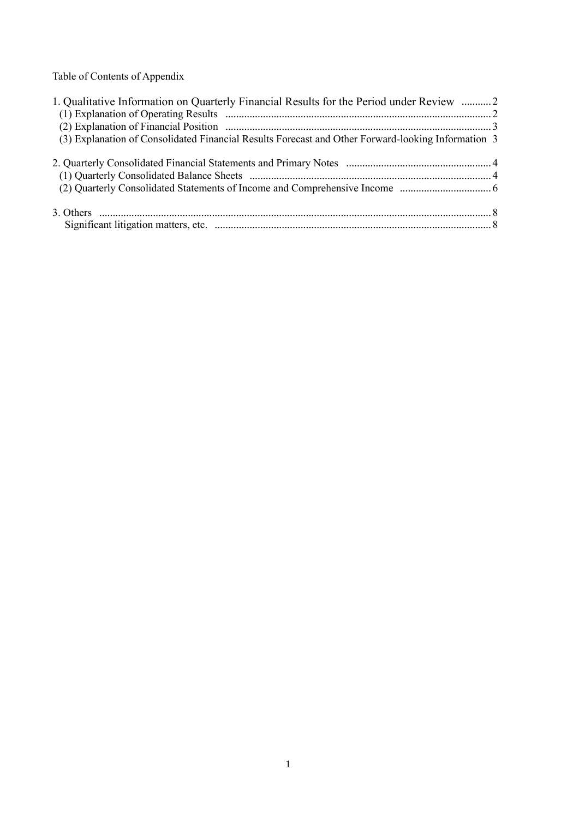Table of Contents of Appendix

| 1. Qualitative Information on Quarterly Financial Results for the Period under Review 2            |  |
|----------------------------------------------------------------------------------------------------|--|
|                                                                                                    |  |
|                                                                                                    |  |
| (3) Explanation of Consolidated Financial Results Forecast and Other Forward-looking Information 3 |  |
|                                                                                                    |  |
|                                                                                                    |  |
|                                                                                                    |  |
|                                                                                                    |  |
|                                                                                                    |  |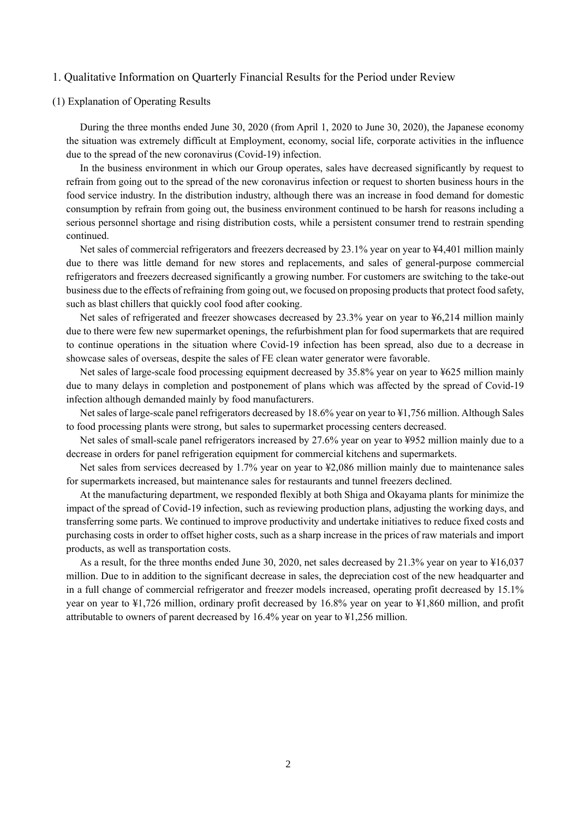#### 1. Qualitative Information on Quarterly Financial Results for the Period under Review

#### (1) Explanation of Operating Results

During the three months ended June 30, 2020 (from April 1, 2020 to June 30, 2020), the Japanese economy the situation was extremely difficult at Employment, economy, social life, corporate activities in the influence due to the spread of the new coronavirus (Covid-19) infection.

In the business environment in which our Group operates, sales have decreased significantly by request to refrain from going out to the spread of the new coronavirus infection or request to shorten business hours in the food service industry. In the distribution industry, although there was an increase in food demand for domestic consumption by refrain from going out, the business environment continued to be harsh for reasons including a serious personnel shortage and rising distribution costs, while a persistent consumer trend to restrain spending continued.

Net sales of commercial refrigerators and freezers decreased by 23.1% year on year to ¥4,401 million mainly due to there was little demand for new stores and replacements, and sales of general-purpose commercial refrigerators and freezers decreased significantly a growing number. For customers are switching to the take-out business due to the effects of refraining from going out, we focused on proposing products that protect food safety, such as blast chillers that quickly cool food after cooking.

Net sales of refrigerated and freezer showcases decreased by 23.3% year on year to  $\frac{1}{2}6,214$  million mainly due to there were few new supermarket openings, the refurbishment plan for food supermarkets that are required to continue operations in the situation where Covid-19 infection has been spread, also due to a decrease in showcase sales of overseas, despite the sales of FE clean water generator were favorable.

Net sales of large-scale food processing equipment decreased by 35.8% year on year to ¥625 million mainly due to many delays in completion and postponement of plans which was affected by the spread of Covid-19 infection although demanded mainly by food manufacturers.

Net sales of large-scale panel refrigerators decreased by 18.6% year on year to ¥1,756 million. Although Sales to food processing plants were strong, but sales to supermarket processing centers decreased.

Net sales of small-scale panel refrigerators increased by 27.6% year on year to ¥952 million mainly due to a decrease in orders for panel refrigeration equipment for commercial kitchens and supermarkets.

Net sales from services decreased by 1.7% year on year to ¥2,086 million mainly due to maintenance sales for supermarkets increased, but maintenance sales for restaurants and tunnel freezers declined.

At the manufacturing department, we responded flexibly at both Shiga and Okayama plants for minimize the impact of the spread of Covid-19 infection, such as reviewing production plans, adjusting the working days, and transferring some parts. We continued to improve productivity and undertake initiatives to reduce fixed costs and purchasing costs in order to offset higher costs, such as a sharp increase in the prices of raw materials and import products, as well as transportation costs.

As a result, for the three months ended June 30, 2020, net sales decreased by 21.3% year on year to ¥16,037 million. Due to in addition to the significant decrease in sales, the depreciation cost of the new headquarter and in a full change of commercial refrigerator and freezer models increased, operating profit decreased by 15.1% year on year to ¥1,726 million, ordinary profit decreased by 16.8% year on year to ¥1,860 million, and profit attributable to owners of parent decreased by 16.4% year on year to ¥1,256 million.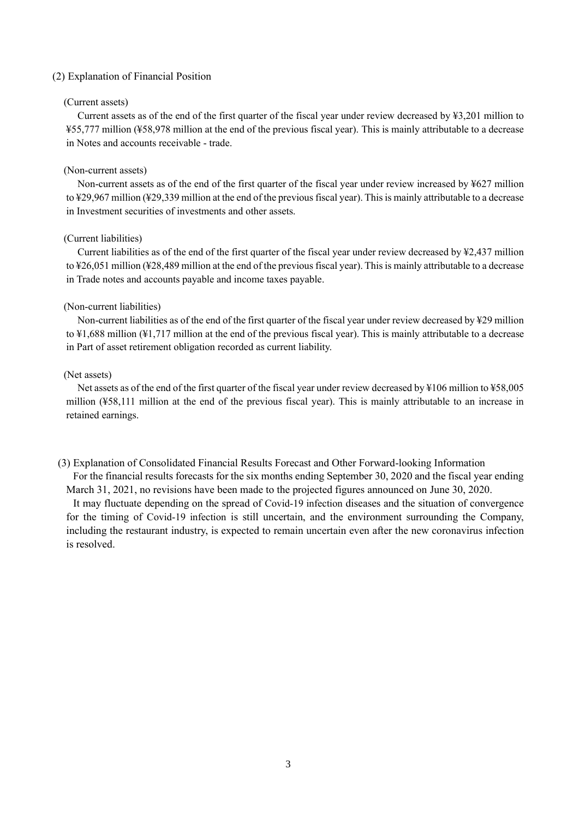#### (2) Explanation of Financial Position

#### (Current assets)

Current assets as of the end of the first quarter of the fiscal year under review decreased by ¥3,201 million to ¥55,777 million (¥58,978 million at the end of the previous fiscal year). This is mainly attributable to a decrease in Notes and accounts receivable - trade.

#### (Non-current assets)

Non-current assets as of the end of the first quarter of the fiscal year under review increased by ¥627 million to ¥29,967 million (¥29,339 million at the end of the previous fiscal year). This is mainly attributable to a decrease in Investment securities of investments and other assets.

#### (Current liabilities)

Current liabilities as of the end of the first quarter of the fiscal year under review decreased by ¥2,437 million to ¥26,051 million (¥28,489 million at the end of the previous fiscal year). This is mainly attributable to a decrease in Trade notes and accounts payable and income taxes payable.

#### (Non-current liabilities)

Non-current liabilities as of the end of the first quarter of the fiscal year under review decreased by ¥29 million to ¥1,688 million (¥1,717 million at the end of the previous fiscal year). This is mainly attributable to a decrease in Part of asset retirement obligation recorded as current liability.

#### (Net assets)

Net assets as of the end of the first quarter of the fiscal year under review decreased by ¥106 million to ¥58,005 million (¥58,111 million at the end of the previous fiscal year). This is mainly attributable to an increase in retained earnings.

(3) Explanation of Consolidated Financial Results Forecast and Other Forward-looking Information For the financial results forecasts for the six months ending September 30, 2020 and the fiscal year ending

March 31, 2021, no revisions have been made to the projected figures announced on June 30, 2020. It may fluctuate depending on the spread of Covid-19 infection diseases and the situation of convergence for the timing of Covid-19 infection is still uncertain, and the environment surrounding the Company, including the restaurant industry, is expected to remain uncertain even after the new coronavirus infection is resolved.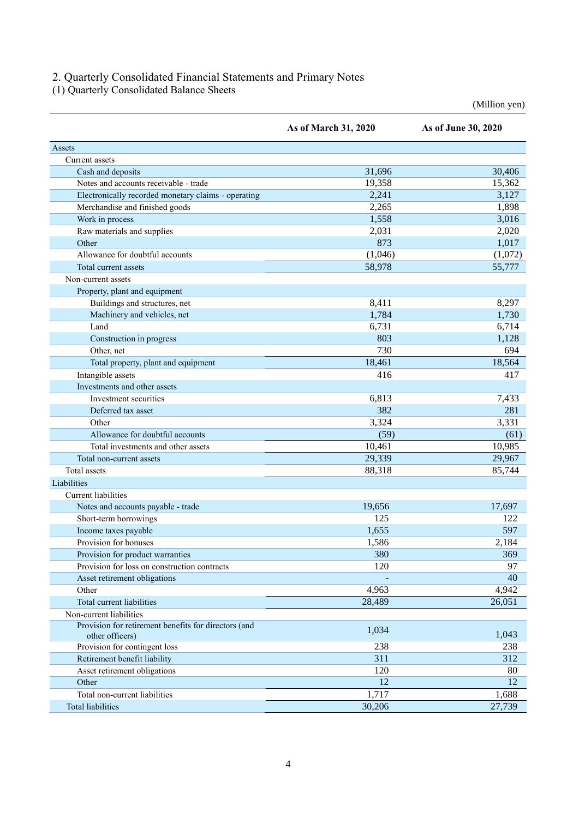#### 2. Quarterly Consolidated Financial Statements and Primary Notes

(1) Quarterly Consolidated Balance Sheets

(Million yen)

|                                                                         | As of March 31, 2020 | As of June 30, 2020 |
|-------------------------------------------------------------------------|----------------------|---------------------|
| Assets                                                                  |                      |                     |
| Current assets                                                          |                      |                     |
| Cash and deposits                                                       | 31,696               | 30,406              |
| Notes and accounts receivable - trade                                   | 19,358               | 15,362              |
| Electronically recorded monetary claims - operating                     | 2,241                | 3,127               |
| Merchandise and finished goods                                          | 2,265                | 1,898               |
| Work in process                                                         | 1,558                | 3,016               |
| Raw materials and supplies                                              | 2,031                | 2,020               |
| Other                                                                   | 873                  | 1,017               |
| Allowance for doubtful accounts                                         | (1,046)              | (1,072)             |
| Total current assets                                                    | 58,978               | 55,777              |
| Non-current assets                                                      |                      |                     |
| Property, plant and equipment                                           |                      |                     |
| Buildings and structures, net                                           | 8,411                | 8,297               |
| Machinery and vehicles, net                                             | 1,784                | 1,730               |
| Land                                                                    | 6,731                | 6,714               |
| Construction in progress                                                | 803                  | 1,128               |
| Other, net                                                              | 730                  | 694                 |
| Total property, plant and equipment                                     | 18,461               | 18,564              |
| Intangible assets                                                       | 416                  | 417                 |
| Investments and other assets                                            |                      |                     |
| Investment securities                                                   | 6,813                | 7,433               |
| Deferred tax asset                                                      | 382                  | 281                 |
| Other                                                                   | 3,324                | 3,331               |
| Allowance for doubtful accounts                                         | (59)                 | (61)                |
| Total investments and other assets                                      | 10,461               | 10,985              |
| Total non-current assets                                                | 29,339               | 29,967              |
| Total assets                                                            | 88,318               | 85,744              |
| Liabilities                                                             |                      |                     |
| <b>Current liabilities</b>                                              |                      |                     |
| Notes and accounts payable - trade                                      | 19,656               | 17,697              |
| Short-term borrowings                                                   | 125                  | 122                 |
| Income taxes payable                                                    | 1,655                | 597                 |
| Provision for bonuses                                                   | 1,586                | 2,184               |
| Provision for product warranties                                        | 380                  | 369                 |
| Provision for loss on construction contracts                            | 120                  | 97                  |
| Asset retirement obligations                                            |                      | 40                  |
| Other                                                                   | 4,963                | 4,942               |
| Total current liabilities                                               | 28,489               | 26,051              |
| Non-current liabilities                                                 |                      |                     |
| Provision for retirement benefits for directors (and<br>other officers) | 1,034                | 1,043               |
| Provision for contingent loss                                           | 238                  | 238                 |
| Retirement benefit liability                                            | 311                  | 312                 |
| Asset retirement obligations                                            | 120                  | 80                  |
| Other                                                                   | 12                   | 12                  |
| Total non-current liabilities                                           | 1,717                | 1,688               |
| <b>Total liabilities</b>                                                | 30,206               | 27,739              |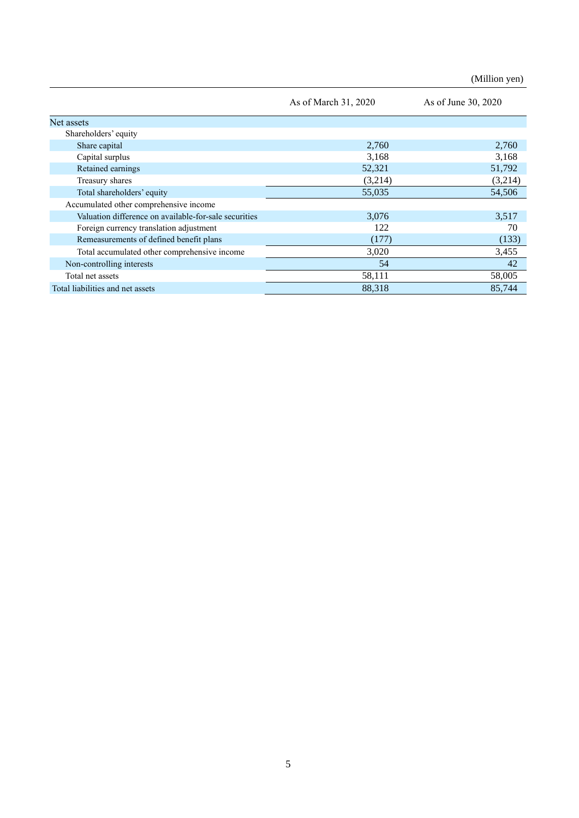(Million yen)

|                                                       | As of March 31, 2020 | As of June 30, 2020 |
|-------------------------------------------------------|----------------------|---------------------|
| Net assets                                            |                      |                     |
| Shareholders' equity                                  |                      |                     |
| Share capital                                         | 2,760                | 2,760               |
| Capital surplus                                       | 3,168                | 3,168               |
| Retained earnings                                     | 52,321               | 51,792              |
| Treasury shares                                       | (3,214)              | (3,214)             |
| Total shareholders' equity                            | 55,035               | 54,506              |
| Accumulated other comprehensive income                |                      |                     |
| Valuation difference on available-for-sale securities | 3,076                | 3,517               |
| Foreign currency translation adjustment               | 122                  | 70                  |
| Remeasurements of defined benefit plans               | (177)                | (133)               |
| Total accumulated other comprehensive income          | 3,020                | 3,455               |
| Non-controlling interests                             | 54                   | 42                  |
| Total net assets                                      | 58,111               | 58,005              |
| Total liabilities and net assets                      | 88,318               | 85,744              |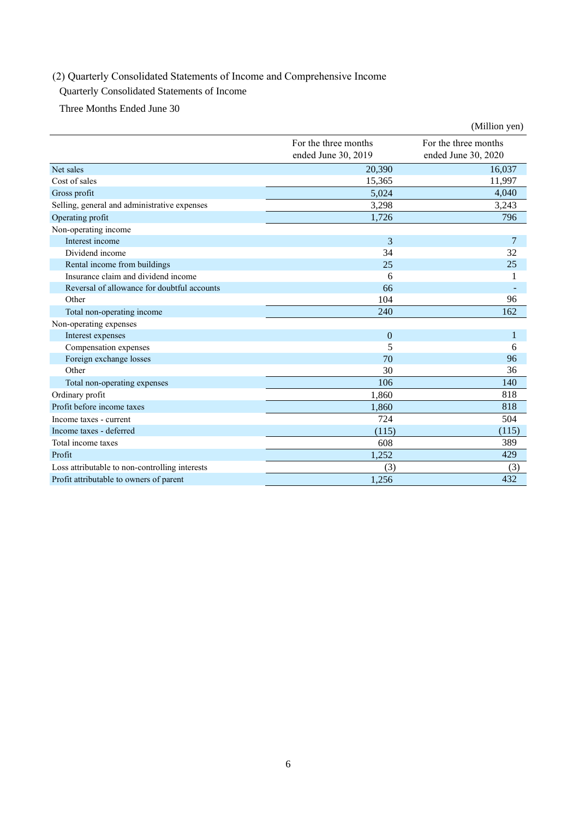## (2) Quarterly Consolidated Statements of Income and Comprehensive Income

### Quarterly Consolidated Statements of Income

Three Months Ended June 30

|                                                |                                             | (Million yen)                               |
|------------------------------------------------|---------------------------------------------|---------------------------------------------|
|                                                | For the three months<br>ended June 30, 2019 | For the three months<br>ended June 30, 2020 |
| Net sales                                      | 20,390                                      | 16,037                                      |
| Cost of sales                                  | 15,365                                      | 11,997                                      |
| Gross profit                                   | 5,024                                       | 4,040                                       |
| Selling, general and administrative expenses   | 3,298                                       | 3,243                                       |
| Operating profit                               | 1,726                                       | 796                                         |
| Non-operating income                           |                                             |                                             |
| Interest income                                | 3                                           | 7                                           |
| Dividend income                                | 34                                          | 32                                          |
| Rental income from buildings                   | 25                                          | 25                                          |
| Insurance claim and dividend income            | 6                                           | 1                                           |
| Reversal of allowance for doubtful accounts    | 66                                          |                                             |
| Other                                          | 104                                         | 96                                          |
| Total non-operating income                     | 240                                         | 162                                         |
| Non-operating expenses                         |                                             |                                             |
| Interest expenses                              | $\overline{0}$                              | 1                                           |
| Compensation expenses                          | 5                                           | 6                                           |
| Foreign exchange losses                        | 70                                          | 96                                          |
| Other                                          | 30                                          | 36                                          |
| Total non-operating expenses                   | 106                                         | 140                                         |
| Ordinary profit                                | 1,860                                       | 818                                         |
| Profit before income taxes                     | 1,860                                       | 818                                         |
| Income taxes - current                         | 724                                         | 504                                         |
| Income taxes - deferred                        | (115)                                       | (115)                                       |
| Total income taxes                             | 608                                         | 389                                         |
| Profit                                         | 1,252                                       | 429                                         |
| Loss attributable to non-controlling interests | (3)                                         | (3)                                         |
| Profit attributable to owners of parent        | 1,256                                       | 432                                         |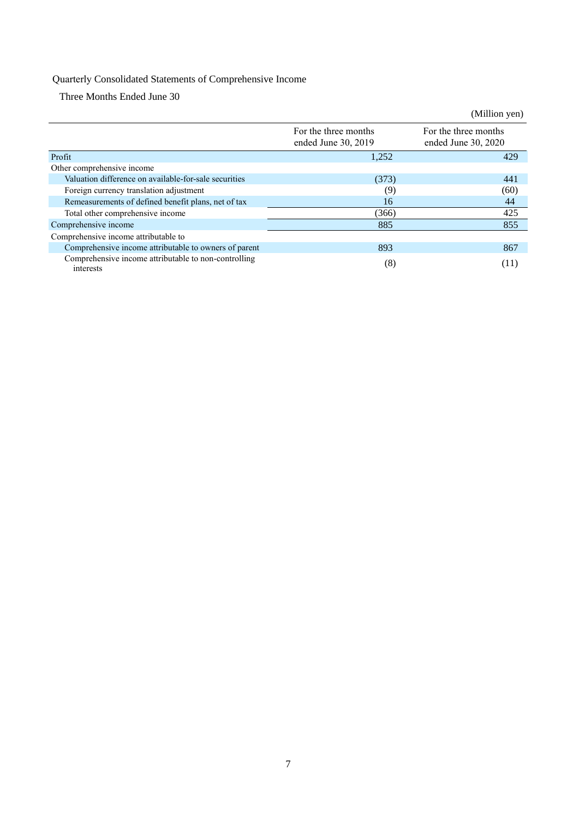## Quarterly Consolidated Statements of Comprehensive Income

Three Months Ended June 30

|                                                                   |                                             | (Million yen)                               |
|-------------------------------------------------------------------|---------------------------------------------|---------------------------------------------|
|                                                                   | For the three months<br>ended June 30, 2019 | For the three months<br>ended June 30, 2020 |
| Profit                                                            | 1,252                                       | 429                                         |
| Other comprehensive income                                        |                                             |                                             |
| Valuation difference on available-for-sale securities             | (373)                                       | 441                                         |
| Foreign currency translation adjustment                           | (9)                                         | (60)                                        |
| Remeasurements of defined benefit plans, net of tax               | 16                                          | 44                                          |
| Total other comprehensive income                                  | (366)                                       | 425                                         |
| Comprehensive income                                              | 885                                         | 855                                         |
| Comprehensive income attributable to                              |                                             |                                             |
| Comprehensive income attributable to owners of parent             | 893                                         | 867                                         |
| Comprehensive income attributable to non-controlling<br>interests | (8)                                         | (11)                                        |